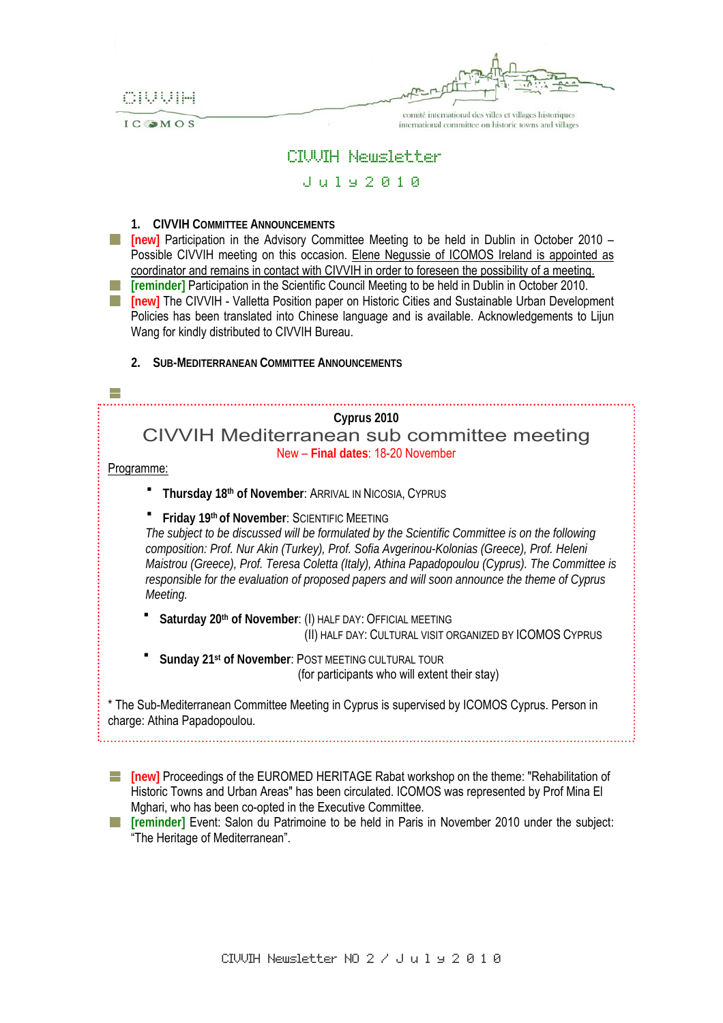CIVVIH

comité international des villes et villages historiques

international committee on historic towns and villages

IC OMOS

CIVVIH Newsletter

## J u l y 2 0 1 0

**1. CIVVIH COMMITTEE ANNOUNCEMENTS**

**[new]** Participation in the Advisory Committee Meeting to be held in Dublin in October 2010 – Possible CIVVIH meeting on this occasion. Elene Negussie of ICOMOS Ireland is appointed as coordinator and remains in contact with CIVVIH in order to foreseen the possibility of a meeting. **[at licentify 15 In articipation in the Scientific Council Meeting to be held in Dublin in October 2010. [inew]** The CIVVIH - Valletta Position paper on Historic Cities and Sustainable Urban Development Policies has been translated into Chinese language and is available. Acknowledgements to Lijun Wang for kindly distributed to CIVVIH Bureau.

**2. SUB-MEDITERRANEAN COMMITTEE ANNOUNCEMENTS**

**Cyprus 2010**  CIVVIH Mediterranean sub committee meeting New – **Final dates**: 18-20 November

Programme:

H.

- **Thursday 18th of November**: ARRIVAL IN NICOSIA, CYPRUS
- **Fiday 19th of November: SCIENTIFIC MEETING**

*The subject to be discussed will be formulated by the Scientific Committee is on the following composition: Prof. Nur Akin (Turkey), Prof. Sofia Avgerinou-Kolonias (Greece), Prof. Heleni Maistrou (Greece), Prof. Teresa Coletta (Italy), Athina Papadopoulou (Cyprus). The Committee is responsible for the evaluation of proposed papers and will soon announce the theme of Cyprus Meeting.* 

Saturday 20<sup>th</sup> of November: (I) HALF DAY: OFFICIAL MEETING (II) HALF DAY: CULTURAL VISIT ORGANIZED BY ICOMOS CYPRUS

 **Sunday 21st of November**: POST MEETING CULTURAL TOUR (for participants who will extent their stay)

\* The Sub-Mediterranean Committee Meeting in Cyprus is supervised by ICOMOS Cyprus. Person in charge: Athina Papadopoulou.

**[new]** Proceedings of the EUROMED HERITAGE Rabat workshop on the theme: "Rehabilitation of Historic Towns and Urban Areas" has been circulated. ICOMOS was represented by Prof Mina El Mghari, who has been co-opted in the Executive Committee.

**[reminder]** Event: Salon du Patrimoine to be held in Paris in November 2010 under the subject: "The Heritage of Mediterranean".